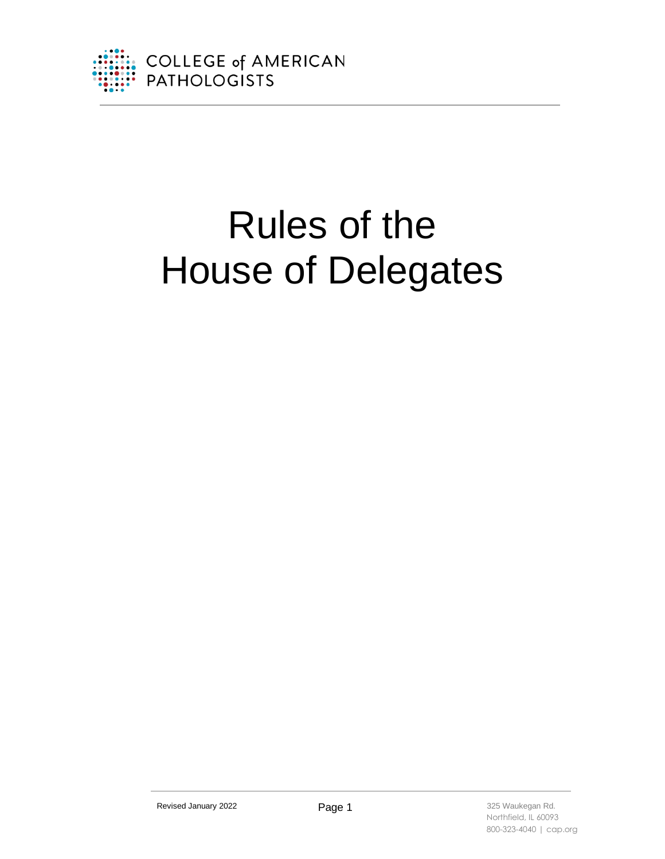

# Rules of the House of Delegates

Revised January 2022 **Page 1 Page 1** 325 Waukegan Rd.

 Northfield, IL 60093 800-323-4040 | cap.org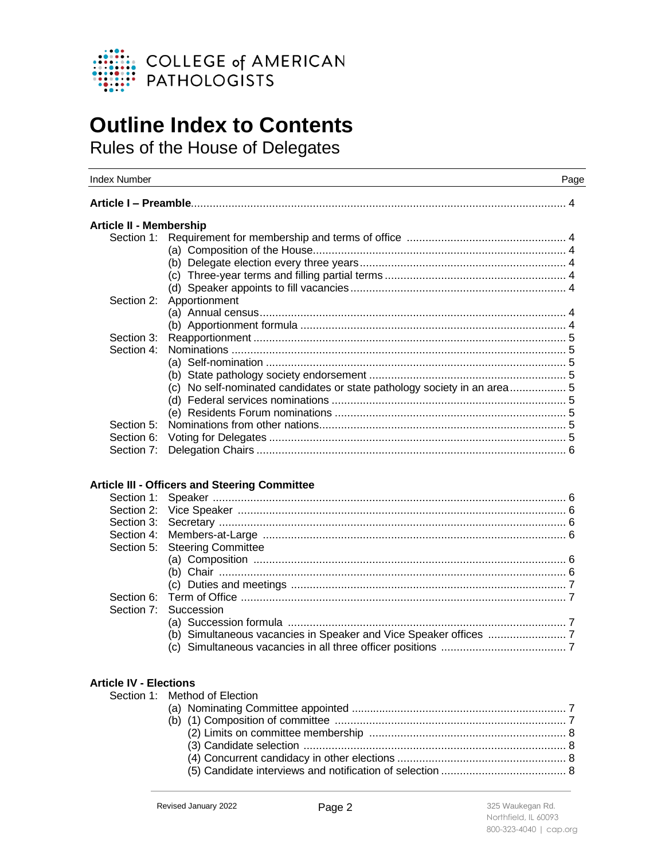

# **Outline Index to Contents**

Rules of the House of Delegates

| <b>Index Number</b>            |                                                                          | Page |
|--------------------------------|--------------------------------------------------------------------------|------|
|                                |                                                                          |      |
| <b>Article II - Membership</b> |                                                                          |      |
| Section 1:                     |                                                                          |      |
|                                |                                                                          |      |
|                                |                                                                          |      |
|                                |                                                                          |      |
|                                |                                                                          |      |
| Section 2:                     | Apportionment                                                            |      |
|                                |                                                                          |      |
|                                |                                                                          |      |
| Section 3:                     |                                                                          |      |
| Section 4:                     |                                                                          |      |
|                                |                                                                          |      |
|                                |                                                                          |      |
|                                | (c) No self-nominated candidates or state pathology society in an area 5 |      |
|                                |                                                                          |      |
|                                |                                                                          |      |
| Section 5:                     |                                                                          |      |
| Section 6:                     |                                                                          |      |
| Section 7:                     |                                                                          |      |
| Section 1:                     | Article III - Officers and Steering Committee                            |      |
| Section 2:                     |                                                                          |      |
| Section 3:                     |                                                                          |      |
| Section 4:                     |                                                                          |      |
| Section 5:                     | <b>Steering Committee</b>                                                |      |
|                                |                                                                          |      |
|                                |                                                                          |      |
|                                |                                                                          |      |
| Section 6:                     |                                                                          |      |
| Section 7:                     | Succession                                                               |      |
|                                |                                                                          |      |
|                                |                                                                          |      |
|                                |                                                                          |      |
|                                |                                                                          |      |
| <b>Article IV - Elections</b>  |                                                                          |      |
| Section 1:                     | Method of Election                                                       |      |
|                                |                                                                          |      |
|                                |                                                                          |      |
|                                |                                                                          |      |
|                                |                                                                          |      |
|                                | $(3)$ Candidate selection $\frac{8}{100}$                                |      |

(4) Concurrent candidacy in other elections ...................................................... 8 (5) Candidate interviews and notification of selection ........................................ 8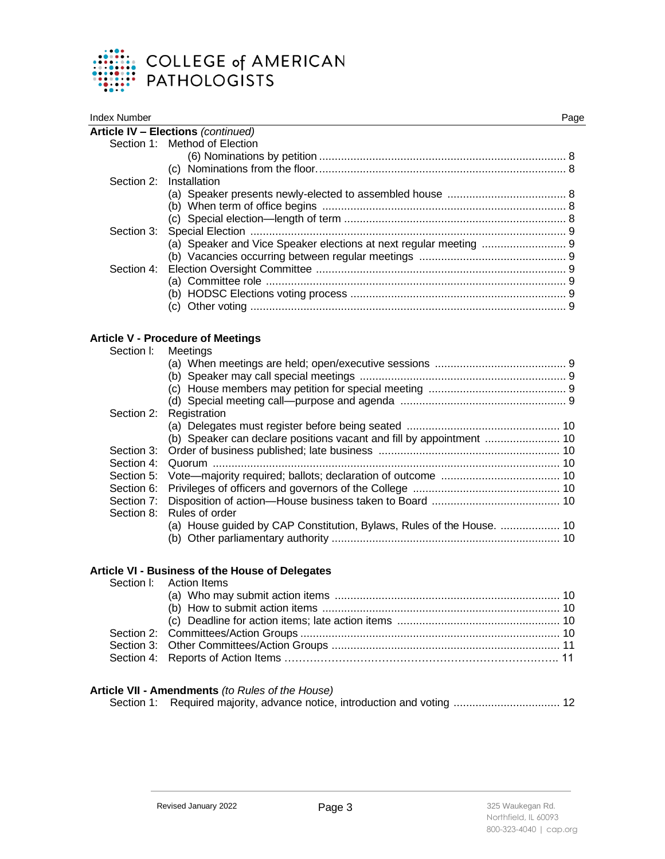

| Index Number |                                    | Page |
|--------------|------------------------------------|------|
|              | Article IV - Elections (continued) |      |
|              | Section 1: Method of Election      |      |
|              |                                    |      |
|              |                                    |      |
|              | Section 2: Installation            |      |
|              |                                    |      |
|              |                                    |      |
|              |                                    |      |
|              |                                    |      |
|              |                                    |      |
|              |                                    |      |
| Section 4:   |                                    |      |
|              |                                    |      |
|              |                                    |      |
|              |                                    |      |
|              |                                    |      |

# **Article V - Procedure of Meetings**

| Meetings<br>Section 2: Registration<br>(b) Speaker can declare positions vacant and fill by appointment  10<br>Section 8: Rules of order<br>(a) House guided by CAP Constitution, Bylaws, Rules of the House.  10 |
|-------------------------------------------------------------------------------------------------------------------------------------------------------------------------------------------------------------------|

# **Article VI - Business of the House of Delegates**

| Section I: Action Items |  |
|-------------------------|--|
|                         |  |
|                         |  |
|                         |  |
|                         |  |
|                         |  |
|                         |  |
|                         |  |

#### **Article VII - Amendments** *(to Rules of the House)*

|  |  |  |  | Section 1: Required majority, advance notice, introduction and voting  12 |
|--|--|--|--|---------------------------------------------------------------------------|
|--|--|--|--|---------------------------------------------------------------------------|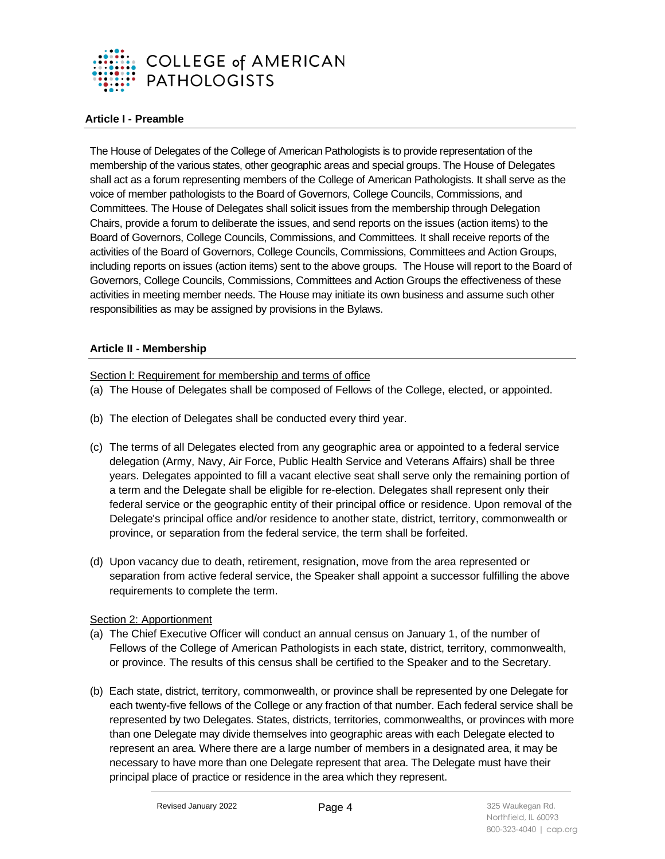

# **Article I - Preamble**

The House of Delegates of the College of American Pathologists is to provide representation of the membership of the various states, other geographic areas and special groups. The House of Delegates shall act as a forum representing members of the College of American Pathologists. It shall serve as the voice of member pathologists to the Board of Governors, College Councils, Commissions, and Committees. The House of Delegates shall solicit issues from the membership through Delegation Chairs, provide a forum to deliberate the issues, and send reports on the issues (action items) to the Board of Governors, College Councils, Commissions, and Committees. It shall receive reports of the activities of the Board of Governors, College Councils, Commissions, Committees and Action Groups, including reports on issues (action items) sent to the above groups. The House will report to the Board of Governors, College Councils, Commissions, Committees and Action Groups the effectiveness of these activities in meeting member needs. The House may initiate its own business and assume such other responsibilities as may be assigned by provisions in the Bylaws.

# **Article II - Membership**

Section l: Requirement for membership and terms of office

- (a) The House of Delegates shall be composed of Fellows of the College, elected, or appointed.
- (b) The election of Delegates shall be conducted every third year.
- (c) The terms of all Delegates elected from any geographic area or appointed to a federal service delegation (Army, Navy, Air Force, Public Health Service and Veterans Affairs) shall be three years. Delegates appointed to fill a vacant elective seat shall serve only the remaining portion of a term and the Delegate shall be eligible for re-election. Delegates shall represent only their federal service or the geographic entity of their principal office or residence. Upon removal of the Delegate's principal office and/or residence to another state, district, territory, commonwealth or province, or separation from the federal service, the term shall be forfeited.
- (d) Upon vacancy due to death, retirement, resignation, move from the area represented or separation from active federal service, the Speaker shall appoint a successor fulfilling the above requirements to complete the term.

#### Section 2: Apportionment

- (a) The Chief Executive Officer will conduct an annual census on January 1, of the number of Fellows of the College of American Pathologists in each state, district, territory, commonwealth, or province. The results of this census shall be certified to the Speaker and to the Secretary.
- (b) Each state, district, territory, commonwealth, or province shall be represented by one Delegate for each twenty-five fellows of the College or any fraction of that number. Each federal service shall be represented by two Delegates. States, districts, territories, commonwealths, or provinces with more than one Delegate may divide themselves into geographic areas with each Delegate elected to represent an area. Where there are a large number of members in a designated area, it may be necessary to have more than one Delegate represent that area. The Delegate must have their principal place of practice or residence in the area which they represent.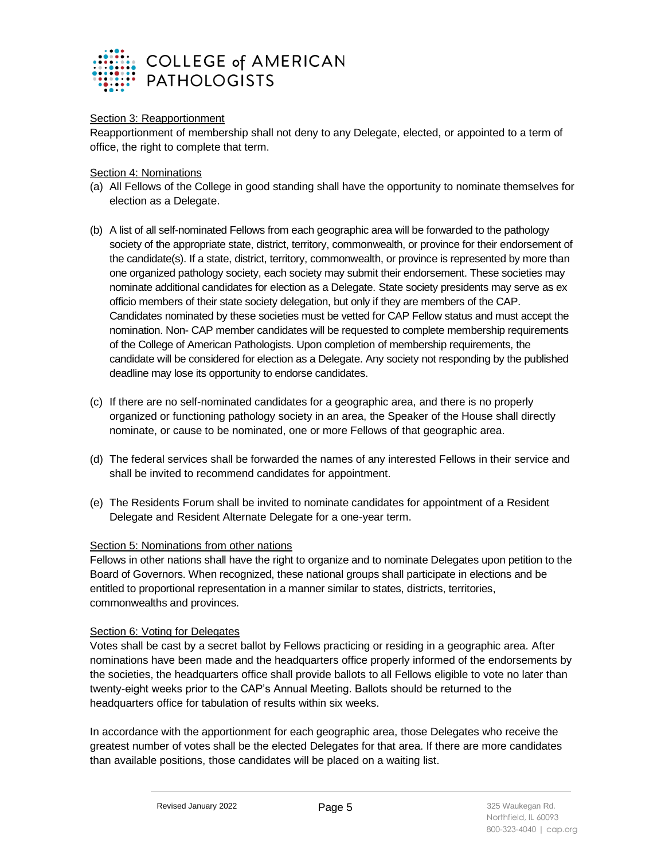

# Section 3: Reapportionment

Reapportionment of membership shall not deny to any Delegate, elected, or appointed to a term of office, the right to complete that term.

Section 4: Nominations

- (a) All Fellows of the College in good standing shall have the opportunity to nominate themselves for election as a Delegate.
- (b) A list of all self-nominated Fellows from each geographic area will be forwarded to the pathology society of the appropriate state, district, territory, commonwealth, or province for their endorsement of the candidate(s). If a state, district, territory, commonwealth, or province is represented by more than one organized pathology society, each society may submit their endorsement. These societies may nominate additional candidates for election as a Delegate. State society presidents may serve as ex officio members of their state society delegation, but only if they are members of the CAP. Candidates nominated by these societies must be vetted for CAP Fellow status and must accept the nomination. Non- CAP member candidates will be requested to complete membership requirements of the College of American Pathologists. Upon completion of membership requirements, the candidate will be considered for election as a Delegate. Any society not responding by the published deadline may lose its opportunity to endorse candidates.
- (c) If there are no self-nominated candidates for a geographic area, and there is no properly organized or functioning pathology society in an area, the Speaker of the House shall directly nominate, or cause to be nominated, one or more Fellows of that geographic area.
- (d) The federal services shall be forwarded the names of any interested Fellows in their service and shall be invited to recommend candidates for appointment.
- (e) The Residents Forum shall be invited to nominate candidates for appointment of a Resident Delegate and Resident Alternate Delegate for a one-year term.

#### Section 5: Nominations from other nations

Fellows in other nations shall have the right to organize and to nominate Delegates upon petition to the Board of Governors. When recognized, these national groups shall participate in elections and be entitled to proportional representation in a manner similar to states, districts, territories, commonwealths and provinces.

#### Section 6: Voting for Delegates

Votes shall be cast by a secret ballot by Fellows practicing or residing in a geographic area. After nominations have been made and the headquarters office properly informed of the endorsements by the societies, the headquarters office shall provide ballots to all Fellows eligible to vote no later than twenty-eight weeks prior to the CAP's Annual Meeting. Ballots should be returned to the headquarters office for tabulation of results within six weeks.

In accordance with the apportionment for each geographic area, those Delegates who receive the greatest number of votes shall be the elected Delegates for that area. If there are more candidates than available positions, those candidates will be placed on a waiting list.

Revised January 2022 **Page 5 Page 5** 325 Waukegan Rd.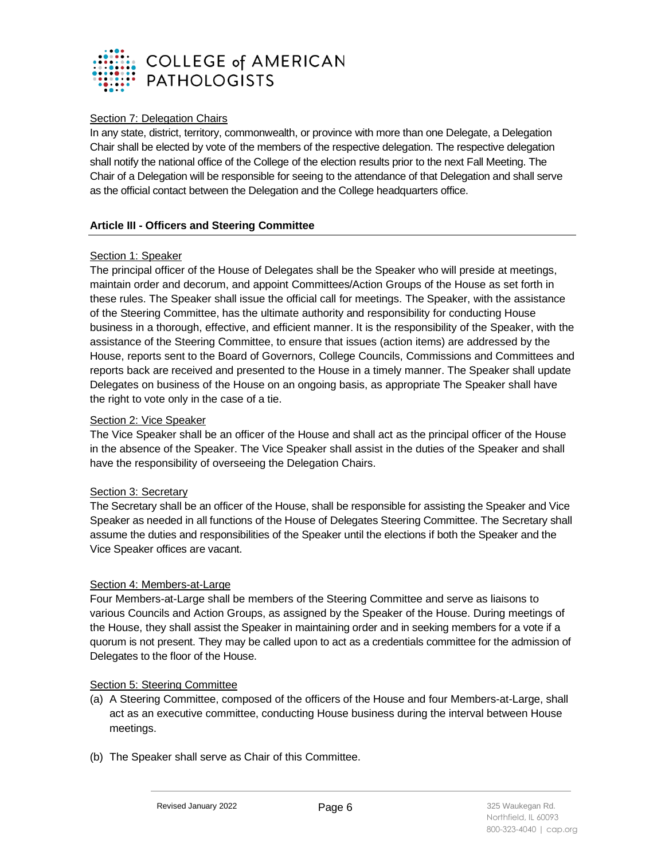

# Section 7: Delegation Chairs

In any state, district, territory, commonwealth, or province with more than one Delegate, a Delegation Chair shall be elected by vote of the members of the respective delegation. The respective delegation shall notify the national office of the College of the election results prior to the next Fall Meeting. The Chair of a Delegation will be responsible for seeing to the attendance of that Delegation and shall serve as the official contact between the Delegation and the College headquarters office.

# **Article III - Officers and Steering Committee**

# Section 1: Speaker

The principal officer of the House of Delegates shall be the Speaker who will preside at meetings, maintain order and decorum, and appoint Committees/Action Groups of the House as set forth in these rules. The Speaker shall issue the official call for meetings. The Speaker, with the assistance of the Steering Committee, has the ultimate authority and responsibility for conducting House business in a thorough, effective, and efficient manner. It is the responsibility of the Speaker, with the assistance of the Steering Committee, to ensure that issues (action items) are addressed by the House, reports sent to the Board of Governors, College Councils, Commissions and Committees and reports back are received and presented to the House in a timely manner. The Speaker shall update Delegates on business of the House on an ongoing basis, as appropriate The Speaker shall have the right to vote only in the case of a tie.

# Section 2: Vice Speaker

The Vice Speaker shall be an officer of the House and shall act as the principal officer of the House in the absence of the Speaker. The Vice Speaker shall assist in the duties of the Speaker and shall have the responsibility of overseeing the Delegation Chairs.

#### Section 3: Secretary

The Secretary shall be an officer of the House, shall be responsible for assisting the Speaker and Vice Speaker as needed in all functions of the House of Delegates Steering Committee. The Secretary shall assume the duties and responsibilities of the Speaker until the elections if both the Speaker and the Vice Speaker offices are vacant.

# Section 4: Members-at-Large

Four Members-at-Large shall be members of the Steering Committee and serve as liaisons to various Councils and Action Groups, as assigned by the Speaker of the House. During meetings of the House, they shall assist the Speaker in maintaining order and in seeking members for a vote if a quorum is not present. They may be called upon to act as a credentials committee for the admission of Delegates to the floor of the House.

#### Section 5: Steering Committee

- (a) A Steering Committee, composed of the officers of the House and four Members-at-Large, shall act as an executive committee, conducting House business during the interval between House meetings.
- (b) The Speaker shall serve as Chair of this Committee.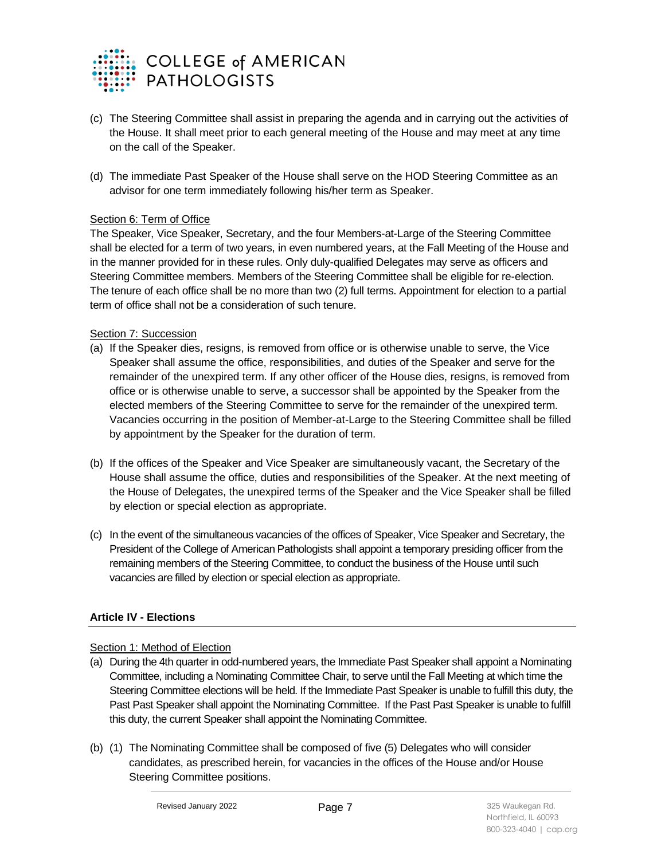

- (c) The Steering Committee shall assist in preparing the agenda and in carrying out the activities of the House. It shall meet prior to each general meeting of the House and may meet at any time on the call of the Speaker.
- (d) The immediate Past Speaker of the House shall serve on the HOD Steering Committee as an advisor for one term immediately following his/her term as Speaker.

# Section 6: Term of Office

The Speaker, Vice Speaker, Secretary, and the four Members-at-Large of the Steering Committee shall be elected for a term of two years, in even numbered years, at the Fall Meeting of the House and in the manner provided for in these rules. Only duly-qualified Delegates may serve as officers and Steering Committee members. Members of the Steering Committee shall be eligible for re-election. The tenure of each office shall be no more than two (2) full terms. Appointment for election to a partial term of office shall not be a consideration of such tenure.

# Section 7: Succession

- (a) If the Speaker dies, resigns, is removed from office or is otherwise unable to serve, the Vice Speaker shall assume the office, responsibilities, and duties of the Speaker and serve for the remainder of the unexpired term. If any other officer of the House dies, resigns, is removed from office or is otherwise unable to serve, a successor shall be appointed by the Speaker from the elected members of the Steering Committee to serve for the remainder of the unexpired term. Vacancies occurring in the position of Member-at-Large to the Steering Committee shall be filled by appointment by the Speaker for the duration of term.
- (b) If the offices of the Speaker and Vice Speaker are simultaneously vacant, the Secretary of the House shall assume the office, duties and responsibilities of the Speaker. At the next meeting of the House of Delegates, the unexpired terms of the Speaker and the Vice Speaker shall be filled by election or special election as appropriate.
- (c) In the event of the simultaneous vacancies of the offices of Speaker, Vice Speaker and Secretary, the President of the College of American Pathologists shall appoint a temporary presiding officer from the remaining members of the Steering Committee, to conduct the business of the House until such vacancies are filled by election or special election as appropriate.

# **Article IV - Elections**

#### Section 1: Method of Election

- (a) During the 4th quarter in odd-numbered years, the Immediate Past Speaker shall appoint a Nominating Committee, including a Nominating Committee Chair, to serve until the Fall Meeting at which time the Steering Committee elections will be held. If the Immediate Past Speaker is unable to fulfill this duty, the Past Past Speaker shall appoint the Nominating Committee. If the Past Past Speaker is unable to fulfill this duty, the current Speaker shall appoint the Nominating Committee.
- (b) (1) The Nominating Committee shall be composed of five (5) Delegates who will consider candidates, as prescribed herein, for vacancies in the offices of the House and/or House Steering Committee positions.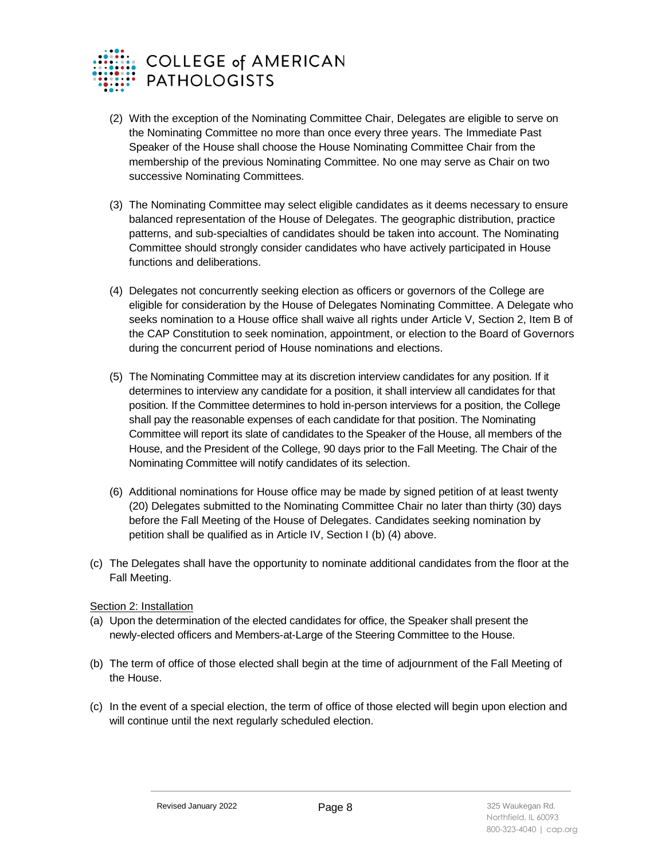

- (2) With the exception of the Nominating Committee Chair, Delegates are eligible to serve on the Nominating Committee no more than once every three years. The Immediate Past Speaker of the House shall choose the House Nominating Committee Chair from the membership of the previous Nominating Committee. No one may serve as Chair on two successive Nominating Committees.
- (3) The Nominating Committee may select eligible candidates as it deems necessary to ensure balanced representation of the House of Delegates. The geographic distribution, practice patterns, and sub-specialties of candidates should be taken into account. The Nominating Committee should strongly consider candidates who have actively participated in House functions and deliberations.
- (4) Delegates not concurrently seeking election as officers or governors of the College are eligible for consideration by the House of Delegates Nominating Committee. A Delegate who seeks nomination to a House office shall waive all rights under Article V, Section 2, Item B of the CAP Constitution to seek nomination, appointment, or election to the Board of Governors during the concurrent period of House nominations and elections.
- (5) The Nominating Committee may at its discretion interview candidates for any position. If it determines to interview any candidate for a position, it shall interview all candidates for that position. If the Committee determines to hold in-person interviews for a position, the College shall pay the reasonable expenses of each candidate for that position. The Nominating Committee will report its slate of candidates to the Speaker of the House, all members of the House, and the President of the College, 90 days prior to the Fall Meeting. The Chair of the Nominating Committee will notify candidates of its selection.
- (6) Additional nominations for House office may be made by signed petition of at least twenty (20) Delegates submitted to the Nominating Committee Chair no later than thirty (30) days before the Fall Meeting of the House of Delegates. Candidates seeking nomination by petition shall be qualified as in Article IV, Section I (b) (4) above.
- (c) The Delegates shall have the opportunity to nominate additional candidates from the floor at the Fall Meeting.

# Section 2: Installation

- (a) Upon the determination of the elected candidates for office, the Speaker shall present the newly-elected officers and Members-at-Large of the Steering Committee to the House.
- (b) The term of office of those elected shall begin at the time of adjournment of the Fall Meeting of the House.
- (c) In the event of a special election, the term of office of those elected will begin upon election and will continue until the next regularly scheduled election.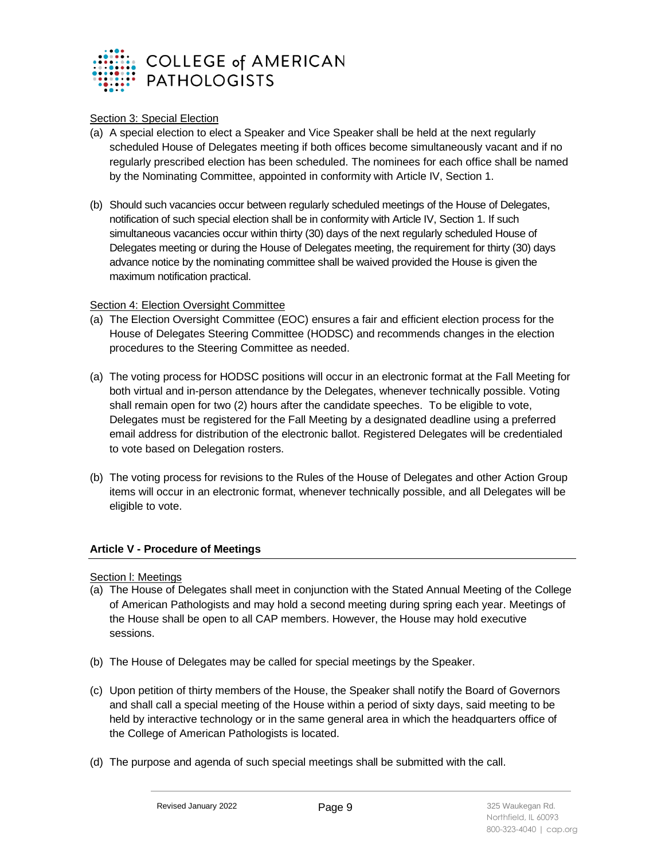

# Section 3: Special Election

- (a) A special election to elect a Speaker and Vice Speaker shall be held at the next regularly scheduled House of Delegates meeting if both offices become simultaneously vacant and if no regularly prescribed election has been scheduled. The nominees for each office shall be named by the Nominating Committee, appointed in conformity with Article IV, Section 1.
- (b) Should such vacancies occur between regularly scheduled meetings of the House of Delegates, notification of such special election shall be in conformity with Article IV, Section 1. If such simultaneous vacancies occur within thirty (30) days of the next regularly scheduled House of Delegates meeting or during the House of Delegates meeting, the requirement for thirty (30) days advance notice by the nominating committee shall be waived provided the House is given the maximum notification practical.

# Section 4: Election Oversight Committee

- (a) The Election Oversight Committee (EOC) ensures a fair and efficient election process for the House of Delegates Steering Committee (HODSC) and recommends changes in the election procedures to the Steering Committee as needed.
- (a) The voting process for HODSC positions will occur in an electronic format at the Fall Meeting for both virtual and in-person attendance by the Delegates, whenever technically possible. Voting shall remain open for two (2) hours after the candidate speeches. To be eligible to vote, Delegates must be registered for the Fall Meeting by a designated deadline using a preferred email address for distribution of the electronic ballot. Registered Delegates will be credentialed to vote based on Delegation rosters.
- (b) The voting process for revisions to the Rules of the House of Delegates and other Action Group items will occur in an electronic format, whenever technically possible, and all Delegates will be eligible to vote.

# **Article V - Procedure of Meetings**

Section l: Meetings

- (a) The House of Delegates shall meet in conjunction with the Stated Annual Meeting of the College of American Pathologists and may hold a second meeting during spring each year. Meetings of the House shall be open to all CAP members. However, the House may hold executive sessions.
- (b) The House of Delegates may be called for special meetings by the Speaker.
- (c) Upon petition of thirty members of the House, the Speaker shall notify the Board of Governors and shall call a special meeting of the House within a period of sixty days, said meeting to be held by interactive technology or in the same general area in which the headquarters office of the College of American Pathologists is located.
- (d) The purpose and agenda of such special meetings shall be submitted with the call.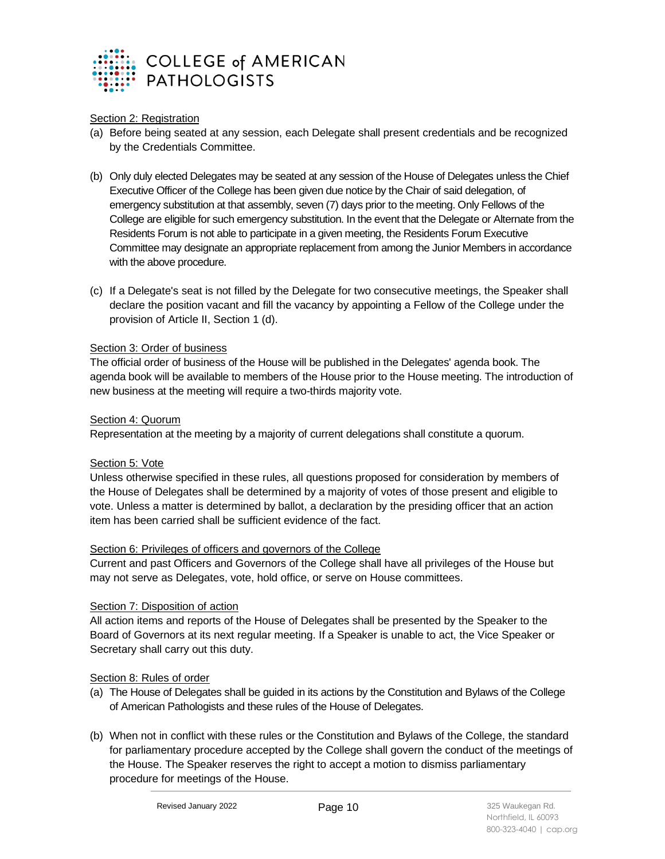

# Section 2: Registration

- (a) Before being seated at any session, each Delegate shall present credentials and be recognized by the Credentials Committee.
- (b) Only duly elected Delegates may be seated at any session of the House of Delegates unless the Chief Executive Officer of the College has been given due notice by the Chair of said delegation, of emergency substitution at that assembly, seven (7) days prior to the meeting. Only Fellows of the College are eligible for such emergency substitution. In the event that the Delegate or Alternate from the Residents Forum is not able to participate in a given meeting, the Residents Forum Executive Committee may designate an appropriate replacement from among the Junior Members in accordance with the above procedure.
- (c) If a Delegate's seat is not filled by the Delegate for two consecutive meetings, the Speaker shall declare the position vacant and fill the vacancy by appointing a Fellow of the College under the provision of Article II, Section 1 (d).

#### Section 3: Order of business

The official order of business of the House will be published in the Delegates' agenda book. The agenda book will be available to members of the House prior to the House meeting. The introduction of new business at the meeting will require a two-thirds majority vote.

# Section 4: Quorum

Representation at the meeting by a majority of current delegations shall constitute a quorum.

# Section 5: Vote

Unless otherwise specified in these rules, all questions proposed for consideration by members of the House of Delegates shall be determined by a majority of votes of those present and eligible to vote. Unless a matter is determined by ballot, a declaration by the presiding officer that an action item has been carried shall be sufficient evidence of the fact.

# Section 6: Privileges of officers and governors of the College

Current and past Officers and Governors of the College shall have all privileges of the House but may not serve as Delegates, vote, hold office, or serve on House committees.

# Section 7: Disposition of action

All action items and reports of the House of Delegates shall be presented by the Speaker to the Board of Governors at its next regular meeting. If a Speaker is unable to act, the Vice Speaker or Secretary shall carry out this duty.

#### Section 8: Rules of order

- (a) The House of Delegates shall be guided in its actions by the Constitution and Bylaws of the College of American Pathologists and these rules of the House of Delegates.
- (b) When not in conflict with these rules or the Constitution and Bylaws of the College, the standard for parliamentary procedure accepted by the College shall govern the conduct of the meetings of the House. The Speaker reserves the right to accept a motion to dismiss parliamentary procedure for meetings of the House.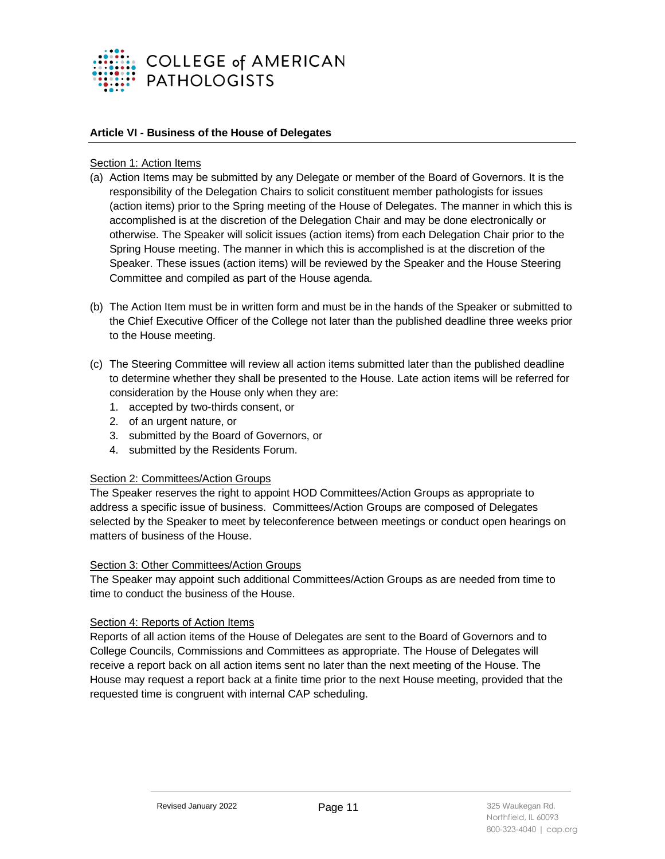

#### **Article VI - Business of the House of Delegates**

#### Section 1: Action Items

- (a) Action Items may be submitted by any Delegate or member of the Board of Governors. It is the responsibility of the Delegation Chairs to solicit constituent member pathologists for issues (action items) prior to the Spring meeting of the House of Delegates. The manner in which this is accomplished is at the discretion of the Delegation Chair and may be done electronically or otherwise. The Speaker will solicit issues (action items) from each Delegation Chair prior to the Spring House meeting. The manner in which this is accomplished is at the discretion of the Speaker. These issues (action items) will be reviewed by the Speaker and the House Steering Committee and compiled as part of the House agenda.
- (b) The Action Item must be in written form and must be in the hands of the Speaker or submitted to the Chief Executive Officer of the College not later than the published deadline three weeks prior to the House meeting.
- (c) The Steering Committee will review all action items submitted later than the published deadline to determine whether they shall be presented to the House. Late action items will be referred for consideration by the House only when they are:
	- 1. accepted by two-thirds consent, or
	- 2. of an urgent nature, or
	- 3. submitted by the Board of Governors, or
	- 4. submitted by the Residents Forum.

#### Section 2: Committees/Action Groups

The Speaker reserves the right to appoint HOD Committees/Action Groups as appropriate to address a specific issue of business. Committees/Action Groups are composed of Delegates selected by the Speaker to meet by teleconference between meetings or conduct open hearings on matters of business of the House.

#### Section 3: Other Committees/Action Groups

The Speaker may appoint such additional Committees/Action Groups as are needed from time to time to conduct the business of the House.

#### Section 4: Reports of Action Items

Reports of all action items of the House of Delegates are sent to the Board of Governors and to College Councils, Commissions and Committees as appropriate. The House of Delegates will receive a report back on all action items sent no later than the next meeting of the House. The House may request a report back at a finite time prior to the next House meeting, provided that the requested time is congruent with internal CAP scheduling.